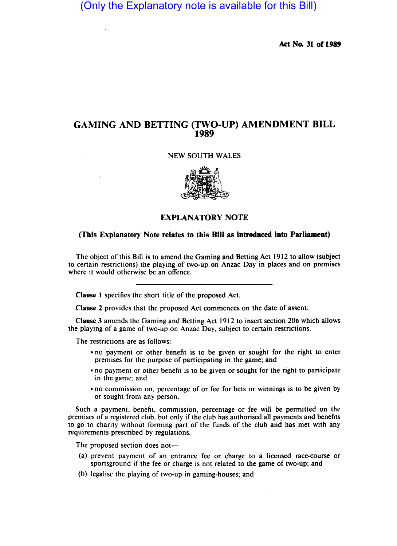(Only the Explanatory note is available for this Bill)

Ad No. 31 *01 1989* 

## GAMING AND BETTING (TWO-UP) AMENDMENT BILL 1989

#### NEW SOUTH WALES



### EXPLANATORY NOTE

#### (This Explanatory Note relates to this Bill as introduced into Parliament)

The object of this Bill is to amend the Gaming and Betting Act 1912 to allow (subject to certain restrictions) the playing of two-up on Anzac Day in places and on premises where it would otherwise be an offence.

Clause 1 specifies the short title of the proposed Act.

Clause 2 provides that the proposed Act commences on the date of assent.

Clause 3 amends the Gaming and Betting Act 1912 to insert section 20B which allows the playing of a game of two-up on Anzac Day, subject to certain restrictions.

The restrictions are as follows:

- no payment or other benefit is to be given or sought for the right to enter premises for the purpose of participating in the game; and
- no payment or other benefit is to be given or sought for the right to participate in the game; and
- no commission on, percentage of or fee for bets or winnings is to be given by or sought from any person.

Such a payment, benefit, commission, percentage or fee will be permitted on the premises of a registered club, but only if the club has authorised all payments and benefits to go to charity without forming part of the funds of the club and has met with any requirements prescribed by regulations.

The proposed section does not-

- (a) prevent payment of an entrance fee or charge to a licensed race-course or sportsground if the fee or charge is not related to the game of two-up; and
- (b) legalise the playing of two-up in gaming-houses; and